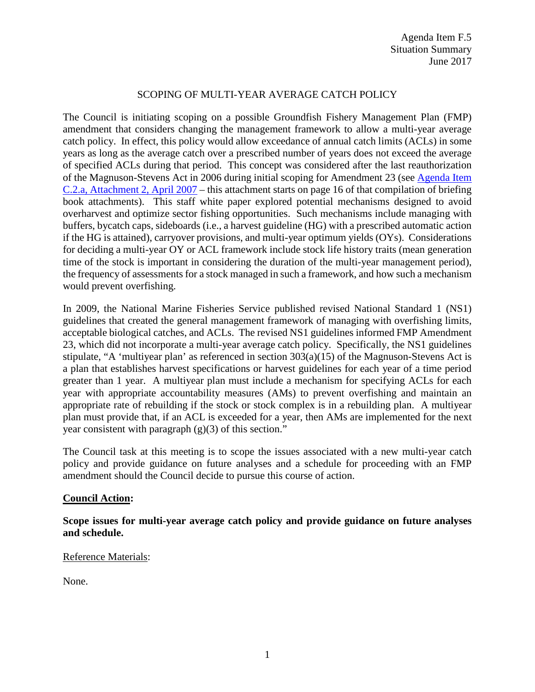## SCOPING OF MULTI-YEAR AVERAGE CATCH POLICY

The Council is initiating scoping on a possible Groundfish Fishery Management Plan (FMP) amendment that considers changing the management framework to allow a multi-year average catch policy. In effect, this policy would allow exceedance of annual catch limits (ACLs) in some years as long as the average catch over a prescribed number of years does not exceed the average of specified ACLs during that period. This concept was considered after the last reauthorization of the Magnuson-Stevens Act in 2006 during initial scoping for Amendment 23 (see [Agenda Item](http://www.pcouncil.org/bb/2007/0407/C2.pdf)  [C.2.a, Attachment 2, April 2007](http://www.pcouncil.org/bb/2007/0407/C2.pdf) – this attachment starts on page 16 of that compilation of briefing book attachments). This staff white paper explored potential mechanisms designed to avoid overharvest and optimize sector fishing opportunities. Such mechanisms include managing with buffers, bycatch caps, sideboards (i.e., a harvest guideline (HG) with a prescribed automatic action if the HG is attained), carryover provisions, and multi-year optimum yields (OYs). Considerations for deciding a multi-year OY or ACL framework include stock life history traits (mean generation time of the stock is important in considering the duration of the multi-year management period), the frequency of assessments for a stock managed in such a framework, and how such a mechanism would prevent overfishing.

In 2009, the National Marine Fisheries Service published revised National Standard 1 (NS1) guidelines that created the general management framework of managing with overfishing limits, acceptable biological catches, and ACLs. The revised NS1 guidelines informed FMP Amendment 23, which did not incorporate a multi-year average catch policy. Specifically, the NS1 guidelines stipulate, "A 'multiyear plan' as referenced in section 303(a)(15) of the Magnuson-Stevens Act is a plan that establishes harvest specifications or harvest guidelines for each year of a time period greater than 1 year. A multiyear plan must include a mechanism for specifying ACLs for each year with appropriate accountability measures (AMs) to prevent overfishing and maintain an appropriate rate of rebuilding if the stock or stock complex is in a rebuilding plan. A multiyear plan must provide that, if an ACL is exceeded for a year, then AMs are implemented for the next year consistent with paragraph  $(g)(3)$  of this section."

The Council task at this meeting is to scope the issues associated with a new multi-year catch policy and provide guidance on future analyses and a schedule for proceeding with an FMP amendment should the Council decide to pursue this course of action.

## **Council Action:**

**Scope issues for multi-year average catch policy and provide guidance on future analyses and schedule.**

## Reference Materials:

None.